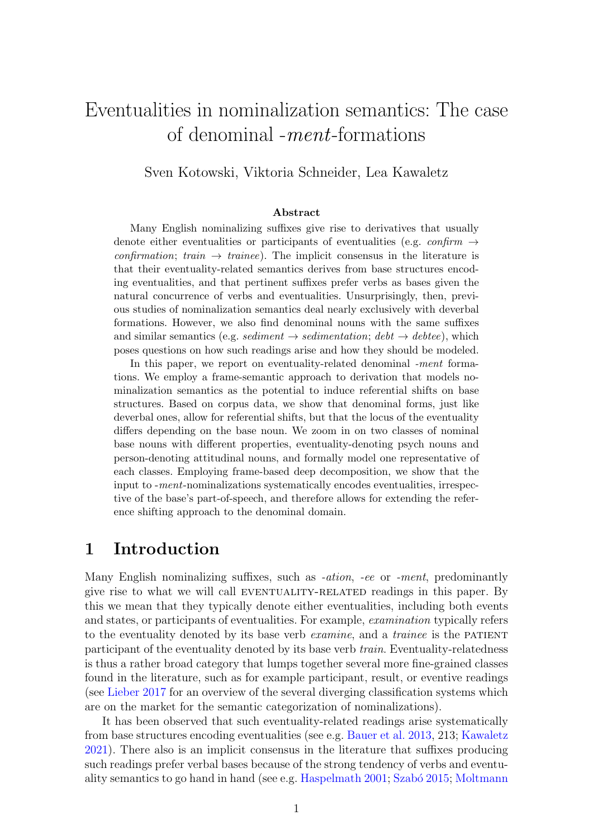# <span id="page-0-0"></span>Eventualities in nominalization semantics: The case of denominal -ment-formations

Sven Kotowski, Viktoria Schneider, Lea Kawaletz

#### Abstract

Many English nominalizing suffixes give rise to derivatives that usually denote either eventualities or participants of eventualities (e.g. *confirm*  $\rightarrow$ confirmation; train  $\rightarrow$  trainee). The implicit consensus in the literature is that their eventuality-related semantics derives from base structures encoding eventualities, and that pertinent suffixes prefer verbs as bases given the natural concurrence of verbs and eventualities. Unsurprisingly, then, previous studies of nominalization semantics deal nearly exclusively with deverbal formations. However, we also find denominal nouns with the same suffixes and similar semantics (e.g. sediment  $\rightarrow$  sedimentation; debt  $\rightarrow$  debtee), which poses questions on how such readings arise and how they should be modeled.

In this paper, we report on eventuality-related denominal -ment formations. We employ a frame-semantic approach to derivation that models nominalization semantics as the potential to induce referential shifts on base structures. Based on corpus data, we show that denominal forms, just like deverbal ones, allow for referential shifts, but that the locus of the eventuality differs depending on the base noun. We zoom in on two classes of nominal base nouns with different properties, eventuality-denoting psych nouns and person-denoting attitudinal nouns, and formally model one representative of each classes. Employing frame-based deep decomposition, we show that the input to -ment-nominalizations systematically encodes eventualities, irrespective of the base's part-of-speech, and therefore allows for extending the reference shifting approach to the denominal domain.

## 1 Introduction

Many English nominalizing suffixes, such as *-ation*, *-ee* or *-ment*, predominantly give rise to what we will call EVENTUALITY-RELATED readings in this paper. By this we mean that they typically denote either eventualities, including both events and states, or participants of eventualities. For example, examination typically refers to the eventuality denoted by its base verb *examine*, and a *trainee* is the PATIENT participant of the eventuality denoted by its base verb train. Eventuality-relatedness is thus a rather broad category that lumps together several more fine-grained classes found in the literature, such as for example participant, result, or eventive readings (see [Lieber](#page-16-0) [2017](#page-16-0) for an overview of the several diverging classification systems which are on the market for the semantic categorization of nominalizations).

It has been observed that such eventuality-related readings arise systematically from base structures encoding eventualities (see e.g. [Bauer et al.](#page-15-0) [2013,](#page-15-0) 213; [Kawaletz](#page-15-1) [2021\)](#page-15-1). There also is an implicit consensus in the literature that suffixes producing such readings prefer verbal bases because of the strong tendency of verbs and eventu-ality semantics to go hand in hand (see e.g. [Haspelmath](#page-15-2) [2001;](#page-15-2) Szabó [2015;](#page-17-0) [Moltmann](#page-16-1)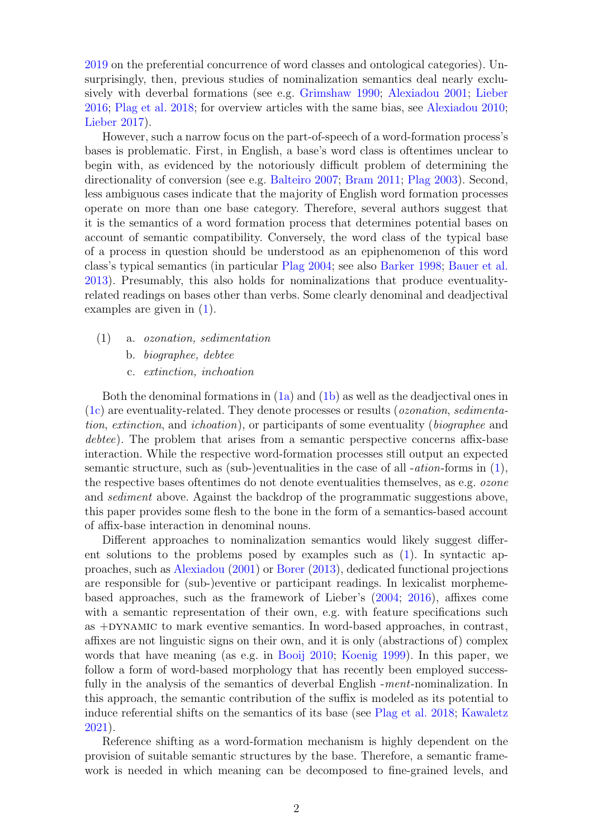[2019](#page-16-1) on the preferential concurrence of word classes and ontological categories). Unsurprisingly, then, previous studies of nominalization semantics deal nearly exclusively with deverbal formations (see e.g. [Grimshaw](#page-15-3) [1990;](#page-15-3) [Alexiadou](#page-14-0) [2001;](#page-14-0) [Lieber](#page-15-4) [2016;](#page-15-4) [Plag et al.](#page-16-2) [2018;](#page-16-2) for overview articles with the same bias, see [Alexiadou](#page-14-1) [2010;](#page-14-1) [Lieber](#page-16-0) [2017\)](#page-16-0).

However, such a narrow focus on the part-of-speech of a word-formation process's bases is problematic. First, in English, a base's word class is oftentimes unclear to begin with, as evidenced by the notoriously difficult problem of determining the directionality of conversion (see e.g. [Balteiro](#page-14-2) [2007;](#page-14-2) [Bram](#page-15-5) [2011;](#page-15-5) [Plag](#page-16-3) [2003\)](#page-16-3). Second, less ambiguous cases indicate that the majority of English word formation processes operate on more than one base category. Therefore, several authors suggest that it is the semantics of a word formation process that determines potential bases on account of semantic compatibility. Conversely, the word class of the typical base of a process in question should be understood as an epiphenomenon of this word class's typical semantics (in particular [Plag](#page-16-4) [2004;](#page-16-4) see also [Barker](#page-14-3) [1998;](#page-14-3) [Bauer et al.](#page-15-0) [2013\)](#page-15-0). Presumably, this also holds for nominalizations that produce eventualityrelated readings on bases other than verbs. Some clearly denominal and deadjectival examples are given in [\(1\)](#page-1-0).

- <span id="page-1-1"></span><span id="page-1-0"></span>(1) a. ozonation, sedimentation
	- b. biographee, debtee
	- c. extinction, inchoation

<span id="page-1-2"></span>Both the denominal formations in [\(1a\)](#page-1-0) and [\(1b\)](#page-1-1) as well as the deadjectival ones in [\(1c\)](#page-1-2) are eventuality-related. They denote processes or results (ozonation, sedimentation, extinction, and ichoation), or participants of some eventuality (biographee and debtee). The problem that arises from a semantic perspective concerns affix-base interaction. While the respective word-formation processes still output an expected semantic structure, such as (sub-)eventualities in the case of all -*ation*-forms in  $(1)$ , the respective bases oftentimes do not denote eventualities themselves, as e.g. ozone and *sediment* above. Against the backdrop of the programmatic suggestions above, this paper provides some flesh to the bone in the form of a semantics-based account of affix-base interaction in denominal nouns.

Different approaches to nominalization semantics would likely suggest different solutions to the problems posed by examples such as [\(1\)](#page-1-0). In syntactic approaches, such as [Alexiadou](#page-14-0) [\(2001\)](#page-14-0) or [Borer](#page-15-6) [\(2013\)](#page-15-6), dedicated functional projections are responsible for (sub-)eventive or participant readings. In lexicalist morphemebased approaches, such as the framework of Lieber's [\(2004;](#page-15-7) [2016\)](#page-15-4), affixes come with a semantic representation of their own, e.g. with feature specifications such as +DYNAMIC to mark eventive semantics. In word-based approaches, in contrast, affixes are not linguistic signs on their own, and it is only (abstractions of) complex words that have meaning (as e.g. in [Booij](#page-15-8) [2010;](#page-15-8) [Koenig](#page-15-9) [1999\)](#page-15-9). In this paper, we follow a form of word-based morphology that has recently been employed successfully in the analysis of the semantics of deverbal English -ment-nominalization. In this approach, the semantic contribution of the suffix is modeled as its potential to induce referential shifts on the semantics of its base (see [Plag et al.](#page-16-2) [2018;](#page-16-2) [Kawaletz](#page-15-1) [2021\)](#page-15-1).

Reference shifting as a word-formation mechanism is highly dependent on the provision of suitable semantic structures by the base. Therefore, a semantic framework is needed in which meaning can be decomposed to fine-grained levels, and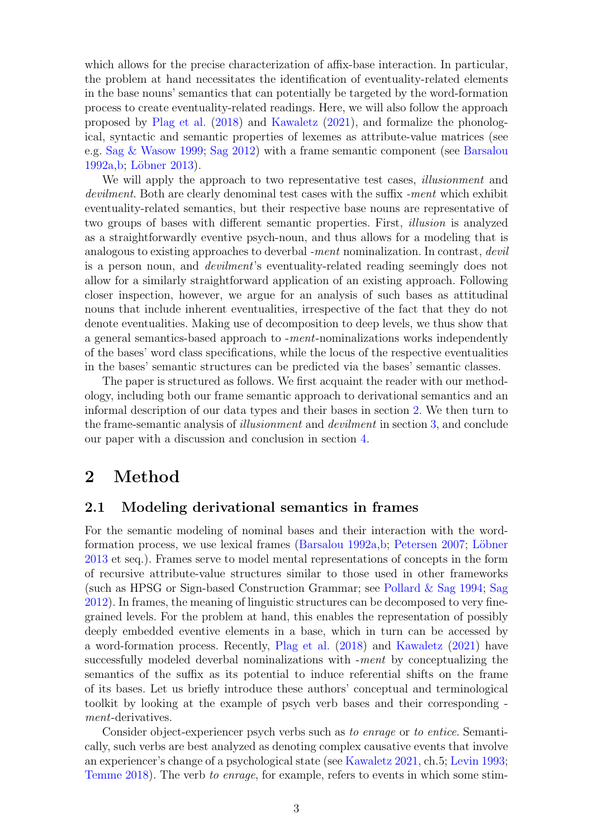which allows for the precise characterization of affix-base interaction. In particular, the problem at hand necessitates the identification of eventuality-related elements in the base nouns' semantics that can potentially be targeted by the word-formation process to create eventuality-related readings. Here, we will also follow the approach proposed by [Plag et al.](#page-16-2) [\(2018\)](#page-16-2) and [Kawaletz](#page-15-1) [\(2021\)](#page-15-1), and formalize the phonological, syntactic and semantic properties of lexemes as attribute-value matrices (see e.g. [Sag & Wasow](#page-17-1) [1999;](#page-17-1) [Sag](#page-17-2) [2012\)](#page-17-2) with a frame semantic component (see [Barsalou](#page-14-4) [1992a,](#page-14-4) [b;](#page-14-5) Löbner [2013\)](#page-16-5).

We will apply the approach to two representative test cases, *illusionment* and devilment. Both are clearly denominal test cases with the suffix -ment which exhibit eventuality-related semantics, but their respective base nouns are representative of two groups of bases with different semantic properties. First, illusion is analyzed as a straightforwardly eventive psych-noun, and thus allows for a modeling that is analogous to existing approaches to deverbal -ment nominalization. In contrast, devil is a person noun, and devilment's eventuality-related reading seemingly does not allow for a similarly straightforward application of an existing approach. Following closer inspection, however, we argue for an analysis of such bases as attitudinal nouns that include inherent eventualities, irrespective of the fact that they do not denote eventualities. Making use of decomposition to deep levels, we thus show that a general semantics-based approach to -ment-nominalizations works independently of the bases' word class specifications, while the locus of the respective eventualities in the bases' semantic structures can be predicted via the bases' semantic classes.

The paper is structured as follows. We first acquaint the reader with our methodology, including both our frame semantic approach to derivational semantics and an informal description of our data types and their bases in section [2.](#page-2-0) We then turn to the frame-semantic analysis of illusionment and devilment in section [3,](#page-6-0) and conclude our paper with a discussion and conclusion in section [4.](#page-13-0)

# <span id="page-2-0"></span>2 Method

### <span id="page-2-1"></span>2.1 Modeling derivational semantics in frames

For the semantic modeling of nominal bases and their interaction with the word-formation process, we use lexical frames [\(Barsalou](#page-14-4) [1992a,](#page-14-4) [b;](#page-14-5) [Petersen](#page-16-6) [2007;](#page-16-6) Löbner [2013](#page-16-5) et seq.). Frames serve to model mental representations of concepts in the form of recursive attribute-value structures similar to those used in other frameworks (such as HPSG or Sign-based Construction Grammar; see [Pollard & Sag](#page-16-7) [1994;](#page-16-7) [Sag](#page-17-2) [2012\)](#page-17-2). In frames, the meaning of linguistic structures can be decomposed to very finegrained levels. For the problem at hand, this enables the representation of possibly deeply embedded eventive elements in a base, which in turn can be accessed by a word-formation process. Recently, [Plag et al.](#page-16-2) [\(2018\)](#page-16-2) and [Kawaletz](#page-15-1) [\(2021\)](#page-15-1) have successfully modeled deverbal nominalizations with -ment by conceptualizing the semantics of the suffix as its potential to induce referential shifts on the frame of its bases. Let us briefly introduce these authors' conceptual and terminological toolkit by looking at the example of psych verb bases and their corresponding ment-derivatives.

Consider object-experiencer psych verbs such as to enrage or to entice. Semantically, such verbs are best analyzed as denoting complex causative events that involve an experiencer's change of a psychological state (see [Kawaletz](#page-15-1) [2021,](#page-15-1) ch.5; [Levin](#page-15-10) [1993;](#page-15-10) [Temme](#page-17-3) [2018\)](#page-17-3). The verb to enrage, for example, refers to events in which some stim-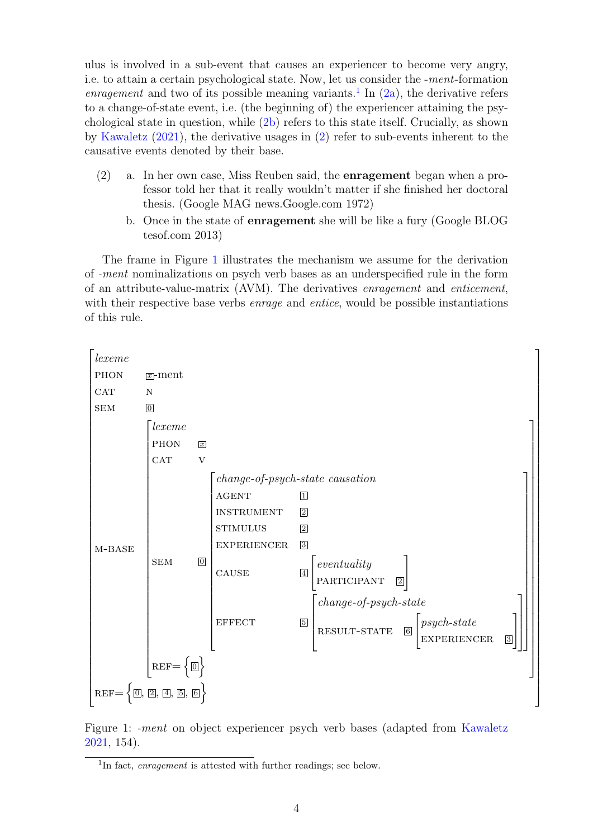ulus is involved in a sub-event that causes an experiencer to become very angry, i.e. to attain a certain psychological state. Now, let us consider the -ment-formation enragement and two of its possible meaning variants.<sup>[1](#page-0-0)</sup> In  $(2a)$ , the derivative refers to a change-of-state event, i.e. (the beginning of) the experiencer attaining the psychological state in question, while [\(2b\)](#page-3-1) refers to this state itself. Crucially, as shown by [Kawaletz](#page-15-1) [\(2021\)](#page-15-1), the derivative usages in [\(2\)](#page-3-0) refer to sub-events inherent to the causative events denoted by their base.

- <span id="page-3-0"></span>(2) a. In her own case, Miss Reuben said, the enragement began when a professor told her that it really wouldn't matter if she finished her doctoral thesis. (Google MAG news.Google.com 1972)
	- b. Once in the state of enragement she will be like a fury (Google BLOG tesof.com 2013)

<span id="page-3-1"></span>The frame in Figure [1](#page-3-2) illustrates the mechanism we assume for the derivation of -ment nominalizations on psych verb bases as an underspecified rule in the form of an attribute-value-matrix (AVM). The derivatives enragement and enticement, with their respective base verbs *enrage* and *entice*, would be possible instantiations of this rule.



Figure 1: -ment on object experiencer psych verb bases (adapted from [Kawaletz](#page-15-1) [2021,](#page-15-1) 154).

<span id="page-3-2"></span><sup>&</sup>lt;sup>1</sup>In fact, enragement is attested with further readings; see below.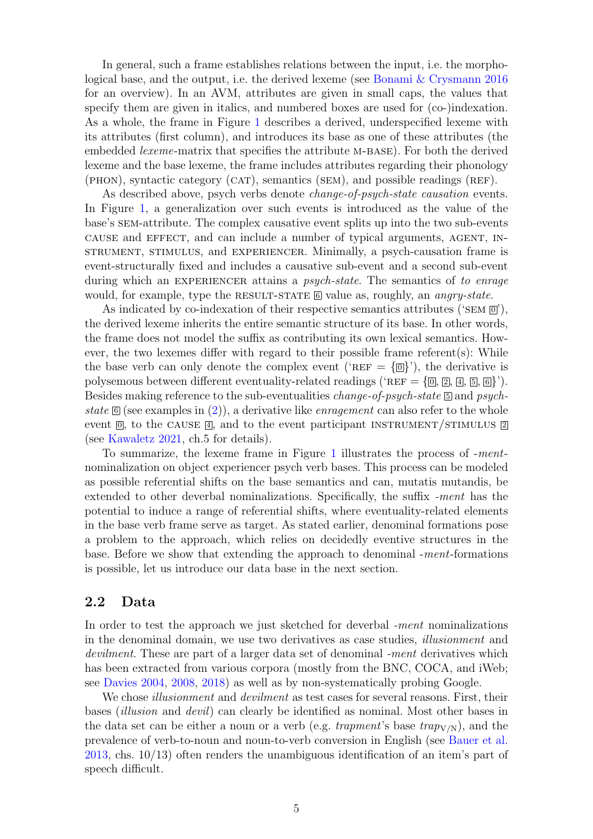In general, such a frame establishes relations between the input, i.e. the morphological base, and the output, i.e. the derived lexeme (see [Bonami & Crysmann](#page-15-11) [2016](#page-15-11) for an overview). In an AVM, attributes are given in small caps, the values that specify them are given in italics, and numbered boxes are used for (co-)indexation. As a whole, the frame in Figure [1](#page-3-2) describes a derived, underspecified lexeme with its attributes (first column), and introduces its base as one of these attributes (the embedded *lexeme*-matrix that specifies the attribute M-BASE). For both the derived lexeme and the base lexeme, the frame includes attributes regarding their phonology (phon), syntactic category (cat), semantics (sem), and possible readings (ref).

As described above, psych verbs denote *change-of-psych-state causation* events. In Figure [1,](#page-3-2) a generalization over such events is introduced as the value of the base's sem-attribute. The complex causative event splits up into the two sub-events cause and effect, and can include a number of typical arguments, agent, instrument, stimulus, and experiencer. Minimally, a psych-causation frame is event-structurally fixed and includes a causative sub-event and a second sub-event during which an EXPERIENCER attains a *psych-state*. The semantics of to enrage would, for example, type the RESULT-STATE  $\overline{6}$  value as, roughly, an *angry-state*.

As indicated by co-indexation of their respective semantics attributes ('SEM  $\overline{0}$ '), the derived lexeme inherits the entire semantic structure of its base. In other words, the frame does not model the suffix as contributing its own lexical semantics. However, the two lexemes differ with regard to their possible frame referent(s): While the base verb can only denote the complex event ('REF =  $\{\overline{\omega}\}$ '), the derivative is polysemous between different eventuality-related readings ('REF =  $\{\overline{\omega}, \overline{\omega}, \overline{\omega}, \overline{\omega}\}$ '). Besides making reference to the sub-eventualities *change-of-psych-state*  $\overline{5}$  and psychstate  $[6]$  (see examples in [\(2\)](#page-3-0)), a derivative like *enragement* can also refer to the whole event  $\overline{0}$ , to the CAUSE  $\overline{4}$ , and to the event participant INSTRUMENT/STIMULUS  $\overline{2}$ (see [Kawaletz](#page-15-1) [2021,](#page-15-1) ch.5 for details).

To summarize, the lexeme frame in Figure [1](#page-3-2) illustrates the process of -mentnominalization on object experiencer psych verb bases. This process can be modeled as possible referential shifts on the base semantics and can, mutatis mutandis, be extended to other deverbal nominalizations. Specifically, the suffix -ment has the potential to induce a range of referential shifts, where eventuality-related elements in the base verb frame serve as target. As stated earlier, denominal formations pose a problem to the approach, which relies on decidedly eventive structures in the base. Before we show that extending the approach to denominal -ment-formations is possible, let us introduce our data base in the next section.

### <span id="page-4-0"></span>2.2 Data

In order to test the approach we just sketched for deverbal -ment nominalizations in the denominal domain, we use two derivatives as case studies, illusionment and devilment. These are part of a larger data set of denominal -ment derivatives which has been extracted from various corpora (mostly from the BNC, COCA, and iWeb; see [Davies](#page-15-12) [2004,](#page-15-12) [2008,](#page-15-13) [2018\)](#page-15-14) as well as by non-systematically probing Google.

We chose *illusionment* and *devilment* as test cases for several reasons. First, their bases (illusion and devil) can clearly be identified as nominal. Most other bases in the data set can be either a noun or a verb (e.g. trapment's base  $trap_{V/N}$ ), and the prevalence of verb-to-noun and noun-to-verb conversion in English (see [Bauer et al.](#page-15-0) [2013,](#page-15-0) chs. 10/13) often renders the unambiguous identification of an item's part of speech difficult.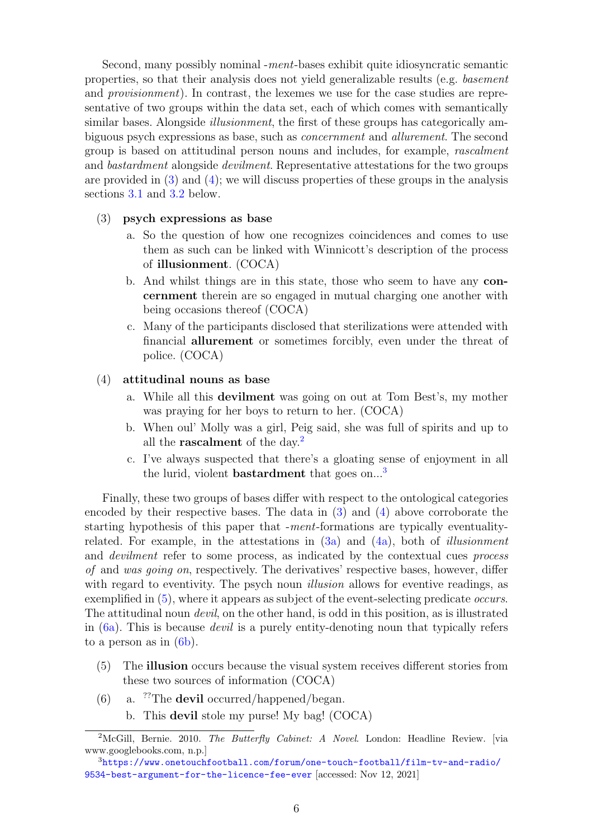Second, many possibly nominal -ment-bases exhibit quite idiosyncratic semantic properties, so that their analysis does not yield generalizable results (e.g. basement and provisionment). In contrast, the lexemes we use for the case studies are representative of two groups within the data set, each of which comes with semantically similar bases. Alongside *illusionment*, the first of these groups has categorically ambiguous psych expressions as base, such as concernment and allurement. The second group is based on attitudinal person nouns and includes, for example, rascalment and *bastardment* alongside *devilment*. Representative attestations for the two groups are provided in  $(3)$  and  $(4)$ ; we will discuss properties of these groups in the analysis sections [3.1](#page-6-1) and [3.2](#page-9-0) below.

#### <span id="page-5-2"></span><span id="page-5-0"></span>(3) psych expressions as base

- a. So the question of how one recognizes coincidences and comes to use them as such can be linked with Winnicott's description of the process of illusionment. (COCA)
- <span id="page-5-7"></span>b. And whilst things are in this state, those who seem to have any concernment therein are so engaged in mutual charging one another with being occasions thereof (COCA)
- <span id="page-5-8"></span>c. Many of the participants disclosed that sterilizations were attended with financial allurement or sometimes forcibly, even under the threat of police. (COCA)

#### <span id="page-5-3"></span><span id="page-5-1"></span>(4) attitudinal nouns as base

- a. While all this devilment was going on out at Tom Best's, my mother was praying for her boys to return to her. (COCA)
- b. When oul' Molly was a girl, Peig said, she was full of spirits and up to all the **rascalment** of the day.<sup>[2](#page-0-0)</sup>
- c. I've always suspected that there's a gloating sense of enjoyment in all the lurid, violent **bastardment** that goes on...<sup>[3](#page-0-0)</sup>

Finally, these two groups of bases differ with respect to the ontological categories encoded by their respective bases. The data in [\(3\)](#page-5-0) and [\(4\)](#page-5-1) above corroborate the starting hypothesis of this paper that -ment-formations are typically eventualityrelated. For example, in the attestations in  $(3a)$  and  $(4a)$ , both of *illusionment* and *devilment* refer to some process, as indicated by the contextual cues *process* of and was going on, respectively. The derivatives' respective bases, however, differ with regard to eventivity. The psych noun *illusion* allows for eventive readings, as exemplified in  $(5)$ , where it appears as subject of the event-selecting predicate *occurs*. The attitudinal noun *devil*, on the other hand, is odd in this position, as is illustrated in [\(6a\)](#page-5-5). This is because devil is a purely entity-denoting noun that typically refers to a person as in  $(6b)$ .

- <span id="page-5-4"></span>(5) The illusion occurs because the visual system receives different stories from these two sources of information (COCA)
- <span id="page-5-6"></span><span id="page-5-5"></span>(6) a. ??The devil occurred/happened/began.
	- b. This devil stole my purse! My bag! (COCA)

<sup>&</sup>lt;sup>2</sup>McGill, Bernie. 2010. The Butterfly Cabinet: A Novel. London: Headline Review. [via www.googlebooks.com, n.p.]

<sup>3</sup>[https://www.onetouchfootball.com/forum/one-touch-football/film-tv-and-radio/](https://www.onetouchfootball.com/forum/one-touch-football/film-tv-and-radio/9534-best-argument-for-the-licence-fee-ever) [9534-best-argument-for-the-licence-fee-ever](https://www.onetouchfootball.com/forum/one-touch-football/film-tv-and-radio/9534-best-argument-for-the-licence-fee-ever) [accessed: Nov 12, 2021]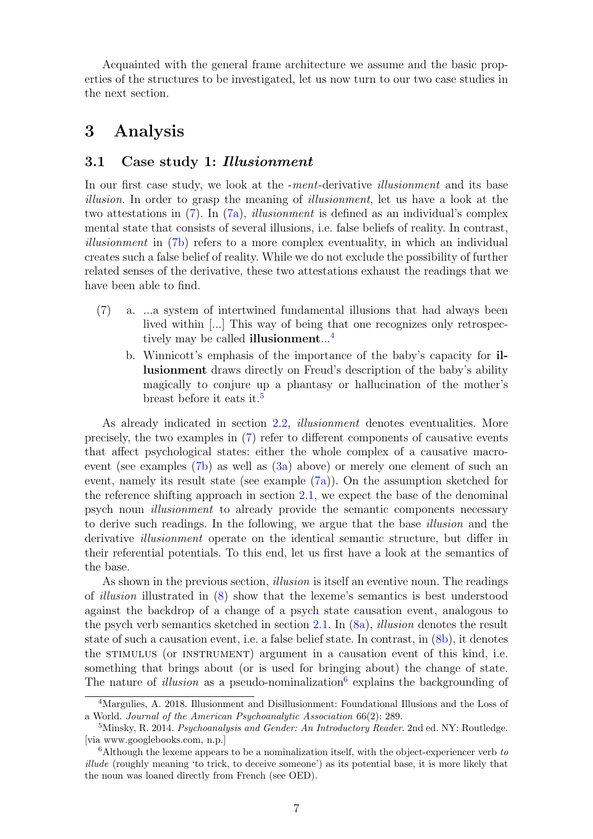Acquainted with the general frame architecture we assume and the basic properties of the structures to be investigated, let us now turn to our two case studies in the next section.

# <span id="page-6-0"></span>3 Analysis

### <span id="page-6-1"></span>3.1 Case study 1: Illusionment

In our first case study, we look at the *-ment*-derivative *illusionment* and its base illusion. In order to grasp the meaning of illusionment, let us have a look at the two attestations in  $(7)$ . In  $(7a)$ , *illusionment* is defined as an individual's complex mental state that consists of several illusions, i.e. false beliefs of reality. In contrast, illusionment in [\(7b\)](#page-6-3) refers to a more complex eventuality, in which an individual creates such a false belief of reality. While we do not exclude the possibility of further related senses of the derivative, these two attestations exhaust the readings that we have been able to find.

- <span id="page-6-3"></span><span id="page-6-2"></span>(7) a. ...a system of intertwined fundamental illusions that had always been lived within [...] This way of being that one recognizes only retrospectively may be called **illusionment**...<sup>[4](#page-0-0)</sup>
	- b. Winnicott's emphasis of the importance of the baby's capacity for illusionment draws directly on Freud's description of the baby's ability magically to conjure up a phantasy or hallucination of the mother's breast before it eats it.<sup>[5](#page-0-0)</sup>

As already indicated in section [2.2,](#page-4-0) illusionment denotes eventualities. More precisely, the two examples in [\(7\)](#page-6-2) refer to different components of causative events that affect psychological states: either the whole complex of a causative macroevent (see examples [\(7b\)](#page-6-3) as well as [\(3a\)](#page-5-2) above) or merely one element of such an event, namely its result state (see example [\(7a\)](#page-6-2)). On the assumption sketched for the reference shifting approach in section [2.1,](#page-2-1) we expect the base of the denominal psych noun illusionment to already provide the semantic components necessary to derive such readings. In the following, we argue that the base *illusion* and the derivative *illusionment* operate on the identical semantic structure, but differ in their referential potentials. To this end, let us first have a look at the semantics of the base.

As shown in the previous section, *illusion* is itself an eventive noun. The readings of illusion illustrated in [\(8\)](#page-7-0) show that the lexeme's semantics is best understood against the backdrop of a change of a psych state causation event, analogous to the psych verb semantics sketched in section [2.1.](#page-2-1) In  $(8a)$ , *illusion* denotes the result state of such a causation event, i.e. a false belief state. In contrast, in [\(8b\)](#page-7-1), it denotes the stimulus (or instrument) argument in a causation event of this kind, i.e. something that brings about (or is used for bringing about) the change of state. The nature of *illusion* as a pseudo-nominalization<sup>[6](#page-0-0)</sup> explains the backgrounding of

<sup>4</sup>Margulies, A. 2018. Illusionment and Disillusionment: Foundational Illusions and the Loss of a World. Journal of the American Psychoanalytic Association 66(2): 289.

<sup>&</sup>lt;sup>5</sup>Minsky, R. 2014. Psychoanalysis and Gender: An Introductory Reader. 2nd ed. NY: Routledge. [via www.googlebooks.com, n.p.]

 $6$ Although the lexeme appears to be a nominalization itself, with the object-experiencer verb to illude (roughly meaning 'to trick, to deceive someone') as its potential base, it is more likely that the noun was loaned directly from French (see OED).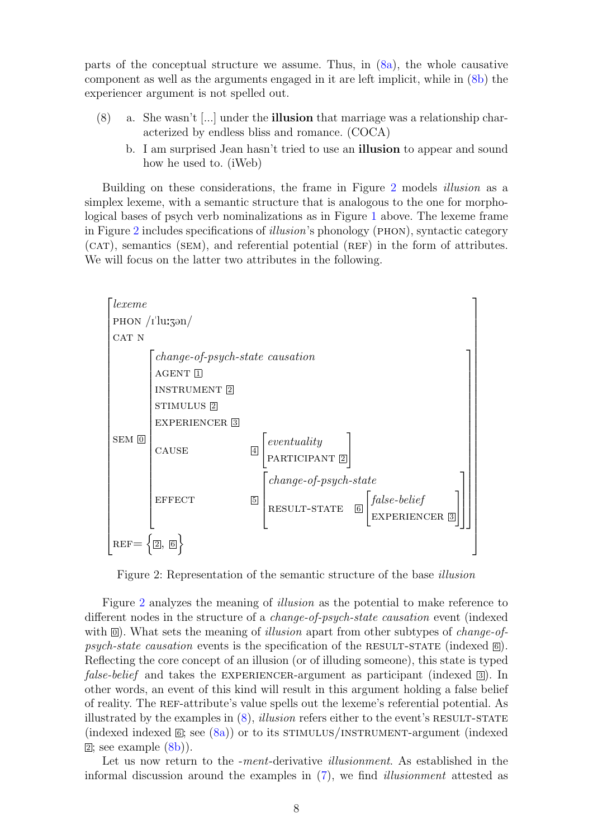parts of the conceptual structure we assume. Thus, in [\(8a\)](#page-7-0), the whole causative component as well as the arguments engaged in it are left implicit, while in [\(8b\)](#page-7-1) the experiencer argument is not spelled out.

- <span id="page-7-1"></span><span id="page-7-0"></span>(8) a. She wasn't [...] under the illusion that marriage was a relationship characterized by endless bliss and romance. (COCA)
	- b. I am surprised Jean hasn't tried to use an illusion to appear and sound how he used to. (iWeb)

Building on these considerations, the frame in Figure [2](#page-7-2) models illusion as a simplex lexeme, with a semantic structure that is analogous to the one for morphological bases of psych verb nominalizations as in Figure [1](#page-3-2) above. The lexeme frame in Figure [2](#page-7-2) includes specifications of illusion's phonology (phon), syntactic category (CAT), semantics (SEM), and referential potential (REF) in the form of attributes. We will focus on the latter two attributes in the following.

<span id="page-7-2"></span>

Figure 2: Representation of the semantic structure of the base illusion

Figure [2](#page-7-2) analyzes the meaning of illusion as the potential to make reference to different nodes in the structure of a change-of-psych-state causation event (indexed with  $\overline{[0]}$ . What sets the meaning of *illusion* apart from other subtypes of *change-of*psych-state causation events is the specification of the RESULT-STATE (indexed  $\textcircled{6}$ ). Reflecting the core concept of an illusion (or of illuding someone), this state is typed *false-belief* and takes the EXPERIENCER-argument as participant (indexed  $\boxed{3}$ ). In other words, an event of this kind will result in this argument holding a false belief of reality. The ref-attribute's value spells out the lexeme's referential potential. As illustrated by the examples in  $(8)$ , *illusion* refers either to the event's RESULT-STATE (indexed indexed  $\mathbb{E}$ ; see  $(8a)$ ) or to its STIMULUS/INSTRUMENT-argument (indexed  $\boxed{2}$ ; see example  $\left(\frac{8}{b}\right)$ ).

Let us now return to the -ment-derivative *illusionment*. As established in the informal discussion around the examples in [\(7\)](#page-6-2), we find illusionment attested as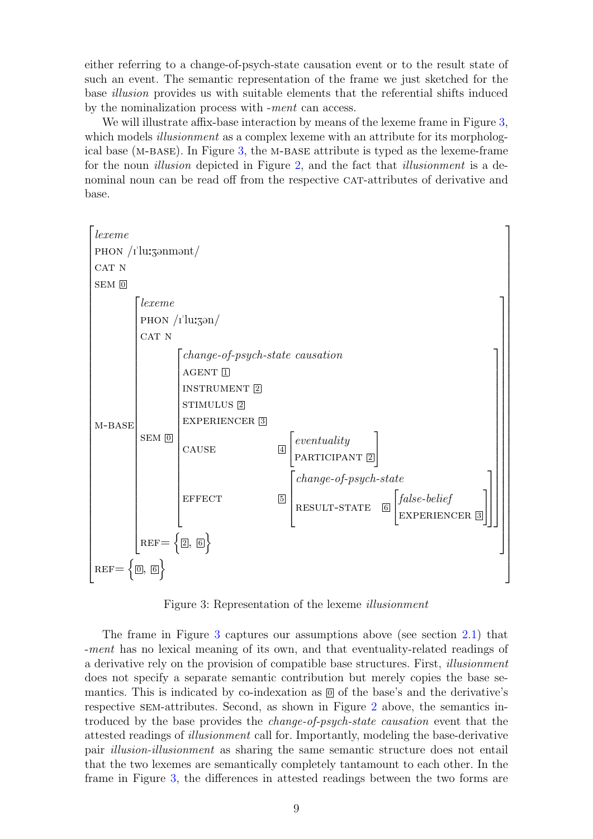either referring to a change-of-psych-state causation event or to the result state of such an event. The semantic representation of the frame we just sketched for the base illusion provides us with suitable elements that the referential shifts induced by the nominalization process with -ment can access.

We will illustrate affix-base interaction by means of the lexeme frame in Figure [3,](#page-8-0) which models *illusionment* as a complex lexeme with an attribute for its morphological base ( $M-BASE$ ). In Figure [3,](#page-8-0) the M-BASE attribute is typed as the lexeme-frame for the noun *illusion* depicted in Figure [2,](#page-7-2) and the fact that *illusionment* is a denominal noun can be read off from the respective CAT-attributes of derivative and base.



<span id="page-8-0"></span>Figure 3: Representation of the lexeme illusionment

The frame in Figure [3](#page-8-0) captures our assumptions above (see section [2.1\)](#page-2-1) that -ment has no lexical meaning of its own, and that eventuality-related readings of a derivative rely on the provision of compatible base structures. First, illusionment does not specify a separate semantic contribution but merely copies the base semantics. This is indicated by co-indexation as  $\overline{0}$  of the base's and the derivative's respective sem-attributes. Second, as shown in Figure [2](#page-7-2) above, the semantics introduced by the base provides the *change-of-psych-state causation* event that the attested readings of illusionment call for. Importantly, modeling the base-derivative pair illusion-illusionment as sharing the same semantic structure does not entail that the two lexemes are semantically completely tantamount to each other. In the frame in Figure [3,](#page-8-0) the differences in attested readings between the two forms are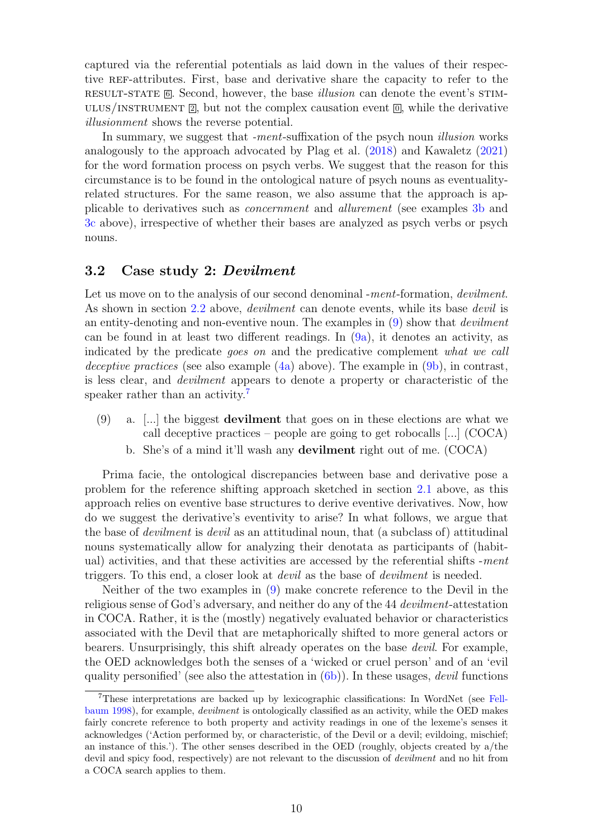captured via the referential potentials as laid down in the values of their respective REF-attributes. First, base and derivative share the capacity to refer to the RESULT-STATE 6. Second, however, the base *illusion* can denote the event's STIM-ULUS/INSTRUMENT  $\mathbb{Z}$ , but not the complex causation event  $\mathbb{Q}$ , while the derivative illusionment shows the reverse potential.

In summary, we suggest that -ment-suffixation of the psych noun *illusion* works analogously to the approach advocated by Plag et al. [\(2018\)](#page-16-2) and Kawaletz [\(2021\)](#page-15-1) for the word formation process on psych verbs. We suggest that the reason for this circumstance is to be found in the ontological nature of psych nouns as eventualityrelated structures. For the same reason, we also assume that the approach is applicable to derivatives such as concernment and allurement (see examples [3b](#page-5-7) and [3c](#page-5-8) above), irrespective of whether their bases are analyzed as psych verbs or psych nouns.

### <span id="page-9-0"></span>3.2 Case study 2: Devilment

Let us move on to the analysis of our second denominal -ment-formation, *devilnent*. As shown in section [2.2](#page-4-0) above, *devilment* can denote events, while its base *devil* is an entity-denoting and non-eventive noun. The examples in  $(9)$  show that *devilent* can be found in at least two different readings. In [\(9a\)](#page-9-1), it denotes an activity, as indicated by the predicate goes on and the predicative complement what we call deceptive practices (see also example  $(4a)$  above). The example in  $(9b)$ , in contrast, is less clear, and devilment appears to denote a property or characteristic of the speaker rather than an activity.<sup>[7](#page-0-0)</sup>

- <span id="page-9-1"></span> $(9)$  a. [...] the biggest **devilment** that goes on in these elections are what we call deceptive practices – people are going to get robocalls [...] (COCA)
	- b. She's of a mind it'll wash any devilment right out of me. (COCA)

<span id="page-9-2"></span>Prima facie, the ontological discrepancies between base and derivative pose a problem for the reference shifting approach sketched in section [2.1](#page-2-1) above, as this approach relies on eventive base structures to derive eventive derivatives. Now, how do we suggest the derivative's eventivity to arise? In what follows, we argue that the base of *devilment* is *devil* as an attitudinal noun, that (a subclass of) attitudinal nouns systematically allow for analyzing their denotata as participants of (habitual) activities, and that these activities are accessed by the referential shifts -ment triggers. To this end, a closer look at *devil* as the base of *devilent* is needed.

Neither of the two examples in [\(9\)](#page-9-1) make concrete reference to the Devil in the religious sense of God's adversary, and neither do any of the 44 devilment-attestation in COCA. Rather, it is the (mostly) negatively evaluated behavior or characteristics associated with the Devil that are metaphorically shifted to more general actors or bearers. Unsurprisingly, this shift already operates on the base devil. For example, the OED acknowledges both the senses of a 'wicked or cruel person' and of an 'evil quality personified' (see also the attestation in  $(6b)$ ). In these usages, *devil* functions

<sup>7</sup>These interpretations are backed up by lexicographic classifications: In WordNet (see [Fell](#page-15-15)[baum](#page-15-15) [1998\)](#page-15-15), for example, devilment is ontologically classified as an activity, while the OED makes fairly concrete reference to both property and activity readings in one of the lexeme's senses it acknowledges ('Action performed by, or characteristic, of the Devil or a devil; evildoing, mischief; an instance of this.'). The other senses described in the OED (roughly, objects created by a/the devil and spicy food, respectively) are not relevant to the discussion of *devilment* and no hit from a COCA search applies to them.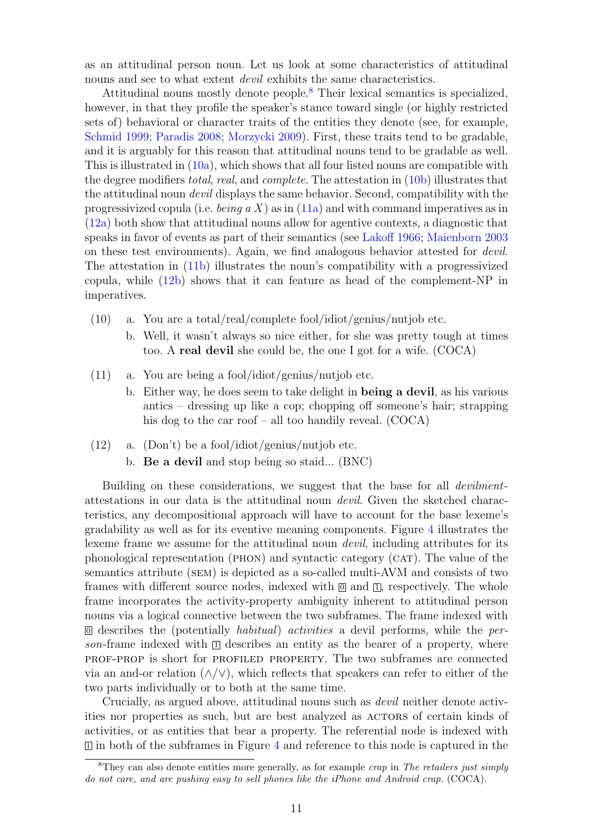as an attitudinal person noun. Let us look at some characteristics of attitudinal nouns and see to what extent *devil* exhibits the same characteristics.

Attitudinal nouns mostly denote people.[8](#page-0-0) Their lexical semantics is specialized, however, in that they profile the speaker's stance toward single (or highly restricted sets of) behavioral or character traits of the entities they denote (see, for example, [Schmid](#page-17-4) [1999;](#page-17-4) [Paradis](#page-16-8) [2008;](#page-16-8) [Morzycki](#page-16-9) [2009\)](#page-16-9). First, these traits tend to be gradable, and it is arguably for this reason that attitudinal nouns tend to be gradable as well. This is illustrated in  $(10a)$ , which shows that all four listed nouns are compatible with the degree modifiers total, real, and complete. The attestation in  $(10b)$  illustrates that the attitudinal noun devil displays the same behavior. Second, compatibility with the progressivized copula (i.e. *being a X*) as in  $(11a)$  and with command imperatives as in [\(12a\)](#page-10-3) both show that attitudinal nouns allow for agentive contexts, a diagnostic that speaks in favor of events as part of their semantics (see [Lakoff](#page-15-16) [1966;](#page-15-16) [Maienborn](#page-16-10) [2003](#page-16-10) on these test environments). Again, we find analogous behavior attested for devil. The attestation in [\(11b\)](#page-10-4) illustrates the noun's compatibility with a progressivized copula, while [\(12b\)](#page-10-5) shows that it can feature as head of the complement-NP in imperatives.

- <span id="page-10-1"></span><span id="page-10-0"></span>(10) a. You are a total/real/complete fool/idiot/genius/nutjob etc.
	- b. Well, it wasn't always so nice either, for she was pretty tough at times too. A real devil she could be, the one I got for a wife. (COCA)
- <span id="page-10-4"></span><span id="page-10-2"></span>(11) a. You are being a fool/idiot/genius/nutjob etc.
	- b. Either way, he does seem to take delight in being a devil, as his various antics – dressing up like a cop; chopping off someone's hair; strapping his dog to the car roof – all too handily reveal. (COCA)

#### <span id="page-10-5"></span><span id="page-10-3"></span>(12) a. (Don't) be a fool/idiot/genius/nutjob etc.

b. Be a devil and stop being so staid... (BNC)

Building on these considerations, we suggest that the base for all *devilnent*attestations in our data is the attitudinal noun devil. Given the sketched characteristics, any decompositional approach will have to account for the base lexeme's gradability as well as for its eventive meaning components. Figure [4](#page-11-0) illustrates the lexeme frame we assume for the attitudinal noun devil, including attributes for its phonological representation (phon) and syntactic category (cat). The value of the semantics attribute (sem) is depicted as a so-called multi-AVM and consists of two frames with different source nodes, indexed with  $\overline{0}$  and  $\overline{1}$ , respectively. The whole frame incorporates the activity-property ambiguity inherent to attitudinal person nouns via a logical connective between the two subframes. The frame indexed with  $\overline{0}$  describes the (potentially *habitual)* activities a devil performs, while the person-frame indexed with  $\Box$  describes an entity as the bearer of a property, where prof-prop is short for profiled property. The two subframes are connected via an and-or relation  $(\wedge/\vee)$ , which reflects that speakers can refer to either of the two parts individually or to both at the same time.

Crucially, as argued above, attitudinal nouns such as devil neither denote activities nor properties as such, but are best analyzed as  $ACTORS$  of certain kinds of activities, or as entities that bear a property. The referential node is indexed with  $\mathbb{I}$  in both of the subframes in Figure [4](#page-11-0) and reference to this node is captured in the

<sup>&</sup>lt;sup>8</sup>They can also denote entities more generally, as for example *crap* in The retailers just simply do not care, and are pushing easy to sell phones like the iPhone and Android crap. (COCA).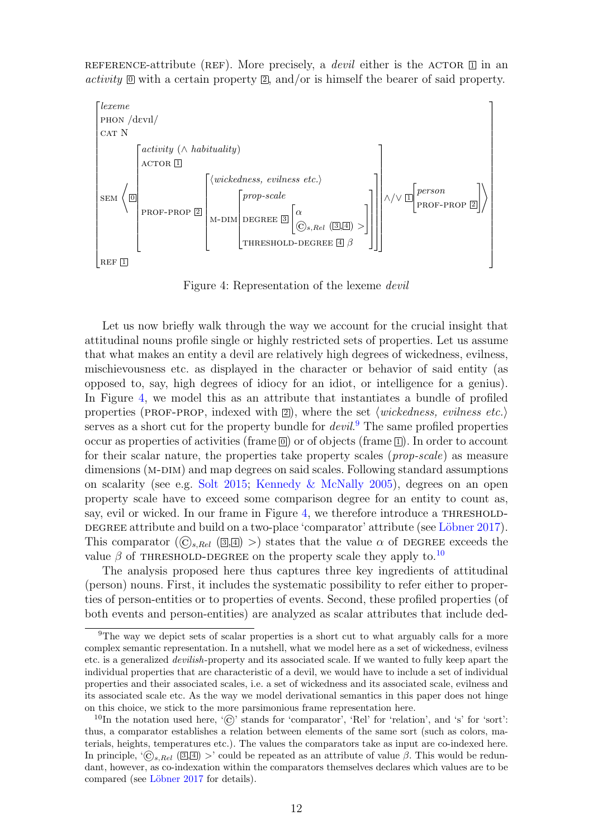REFERENCE-attribute (REF). More precisely, a *devil* either is the ACTOR  $\Box$  in an activity  $\mathbb{D}$  with a certain property  $\mathbb{Z}$ , and/or is himself the bearer of said property.



<span id="page-11-0"></span>Figure 4: Representation of the lexeme devil

Let us now briefly walk through the way we account for the crucial insight that attitudinal nouns profile single or highly restricted sets of properties. Let us assume that what makes an entity a devil are relatively high degrees of wickedness, evilness, mischievousness etc. as displayed in the character or behavior of said entity (as opposed to, say, high degrees of idiocy for an idiot, or intelligence for a genius). In Figure [4,](#page-11-0) we model this as an attribute that instantiates a bundle of profiled properties (PROF-PROP, indexed with  $\boxed{2}$ ), where the set *(wickedness, evilness etc.*) serves as a short cut for the property bundle for *devil*.<sup>[9](#page-0-0)</sup> The same profiled properties occur as properties of activities (frame  $\boxed{0}$ ) or of objects (frame  $\boxed{1}$ ). In order to account for their scalar nature, the properties take property scales (prop-scale) as measure dimensions (M-DIM) and map degrees on said scales. Following standard assumptions on scalarity (see e.g. [Solt](#page-17-5) [2015;](#page-17-5) [Kennedy & McNally](#page-15-17) [2005\)](#page-15-17), degrees on an open property scale have to exceed some comparison degree for an entity to count as, say, evil or wicked. In our frame in Figure [4,](#page-11-0) we therefore introduce a THRESHOLD-DEGREE attribute and build on a two-place 'comparator' attribute (see Löbner [2017\)](#page-16-11). This comparator  $(\widehat{C}_{s,Rel} (\mathbb{R}) >)$  states that the value  $\alpha$  of DEGREE exceeds the value  $\beta$  of THRESHOLD-DEGREE on the property scale they apply to.<sup>[10](#page-0-0)</sup>

The analysis proposed here thus captures three key ingredients of attitudinal (person) nouns. First, it includes the systematic possibility to refer either to properties of person-entities or to properties of events. Second, these profiled properties (of both events and person-entities) are analyzed as scalar attributes that include ded-

<sup>9</sup>The way we depict sets of scalar properties is a short cut to what arguably calls for a more complex semantic representation. In a nutshell, what we model here as a set of wickedness, evilness etc. is a generalized devilish-property and its associated scale. If we wanted to fully keep apart the individual properties that are characteristic of a devil, we would have to include a set of individual properties and their associated scales, i.e. a set of wickedness and its associated scale, evilness and its associated scale etc. As the way we model derivational semantics in this paper does not hinge on this choice, we stick to the more parsimonious frame representation here.

<sup>&</sup>lt;sup>10</sup>In the notation used here,  $\langle \hat{C} \rangle$  stands for 'comparator', 'Rel' for 'relation', and 's' for 'sort': thus, a comparator establishes a relation between elements of the same sort (such as colors, materials, heights, temperatures etc.). The values the comparators take as input are co-indexed here. In principle, ' $\mathcal{O}_{s,Rel}$  (3.4) >' could be repeated as an attribute of value  $\beta$ . This would be redundant, however, as co-indexation within the comparators themselves declares which values are to be compared (see Löbner [2017](#page-16-11) for details).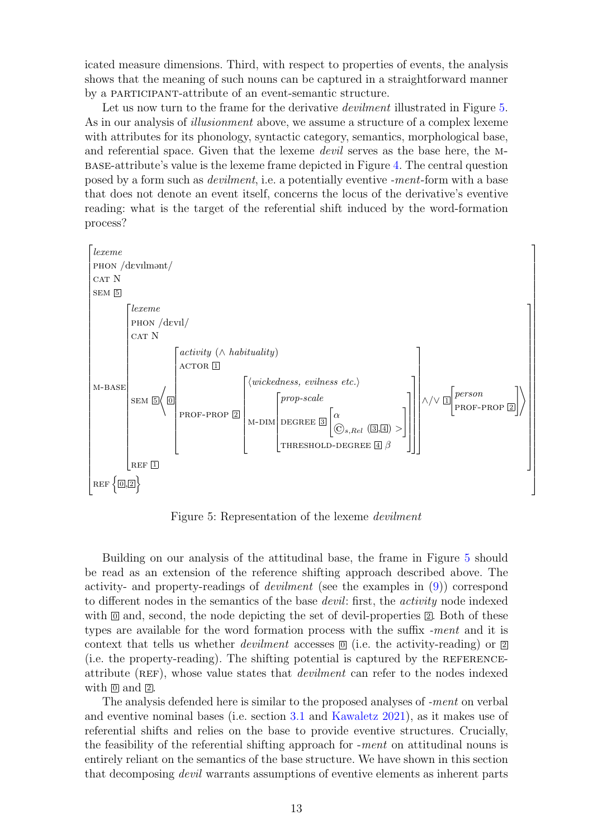icated measure dimensions. Third, with respect to properties of events, the analysis shows that the meaning of such nouns can be captured in a straightforward manner by a participant-attribute of an event-semantic structure.

Let us now turn to the frame for the derivative *devilment* illustrated in Figure [5.](#page-12-0) As in our analysis of *illusionment* above, we assume a structure of a complex lexeme with attributes for its phonology, syntactic category, semantics, morphological base, and referential space. Given that the lexeme *devil* serves as the base here, the Mbase-attribute's value is the lexeme frame depicted in Figure [4.](#page-11-0) The central question posed by a form such as devilment, i.e. a potentially eventive -ment-form with a base that does not denote an event itself, concerns the locus of the derivative's eventive reading: what is the target of the referential shift induced by the word-formation process?



<span id="page-12-0"></span>Figure 5: Representation of the lexeme devilment

Building on our analysis of the attitudinal base, the frame in Figure [5](#page-12-0) should be read as an extension of the reference shifting approach described above. The activity- and property-readings of devilment (see the examples in [\(9\)](#page-9-1)) correspond to different nodes in the semantics of the base *devil*: first, the *activity* node indexed with  $\mathbf{0}$  and, second, the node depicting the set of devil-properties  $\mathbf{2}$ . Both of these types are available for the word formation process with the suffix -ment and it is context that tells us whether *devilment* accesses  $\mathcal{O}$  (i.e. the activity-reading) or  $\mathcal{O}$ (i.e. the property-reading). The shifting potential is captured by the referenceattribute (REF), whose value states that *devilment* can refer to the nodes indexed with  $\overline{0}$  and  $\overline{2}$ .

The analysis defended here is similar to the proposed analyses of -ment on verbal and eventive nominal bases (i.e. section [3.1](#page-6-1) and [Kawaletz](#page-15-1) [2021\)](#page-15-1), as it makes use of referential shifts and relies on the base to provide eventive structures. Crucially, the feasibility of the referential shifting approach for -ment on attitudinal nouns is entirely reliant on the semantics of the base structure. We have shown in this section that decomposing *devil* warrants assumptions of eventive elements as inherent parts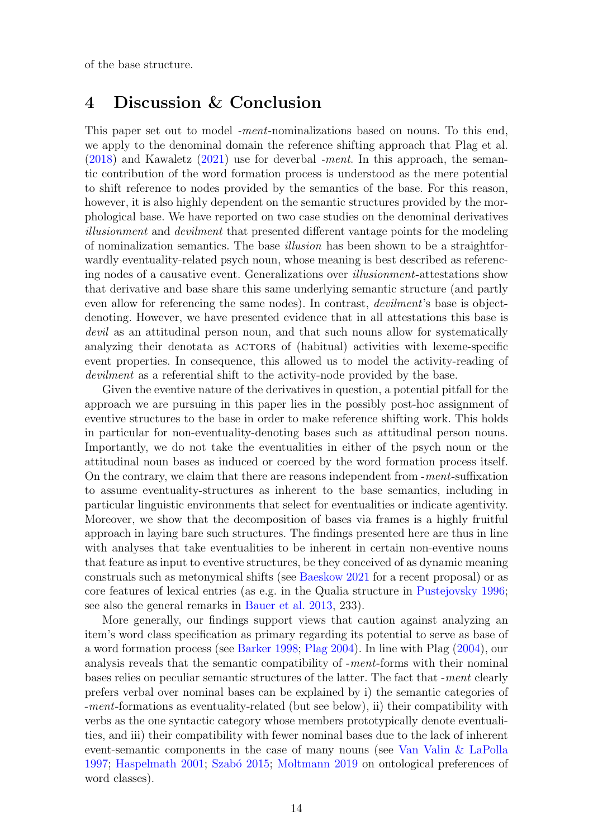of the base structure.

# <span id="page-13-0"></span>4 Discussion & Conclusion

This paper set out to model *-ment*-nominalizations based on nouns. To this end, we apply to the denominal domain the reference shifting approach that Plag et al.  $(2018)$  and Kawaletz  $(2021)$  use for deverbal *-ment*. In this approach, the semantic contribution of the word formation process is understood as the mere potential to shift reference to nodes provided by the semantics of the base. For this reason, however, it is also highly dependent on the semantic structures provided by the morphological base. We have reported on two case studies on the denominal derivatives illusionment and devilment that presented different vantage points for the modeling of nominalization semantics. The base *illusion* has been shown to be a straightforwardly eventuality-related psych noun, whose meaning is best described as referencing nodes of a causative event. Generalizations over illusionment-attestations show that derivative and base share this same underlying semantic structure (and partly even allow for referencing the same nodes). In contrast, *devilment*'s base is objectdenoting. However, we have presented evidence that in all attestations this base is devil as an attitudinal person noun, and that such nouns allow for systematically analyzing their denotata as ACTORS of (habitual) activities with lexeme-specific event properties. In consequence, this allowed us to model the activity-reading of devilment as a referential shift to the activity-node provided by the base.

Given the eventive nature of the derivatives in question, a potential pitfall for the approach we are pursuing in this paper lies in the possibly post-hoc assignment of eventive structures to the base in order to make reference shifting work. This holds in particular for non-eventuality-denoting bases such as attitudinal person nouns. Importantly, we do not take the eventualities in either of the psych noun or the attitudinal noun bases as induced or coerced by the word formation process itself. On the contrary, we claim that there are reasons independent from -ment-suffixation to assume eventuality-structures as inherent to the base semantics, including in particular linguistic environments that select for eventualities or indicate agentivity. Moreover, we show that the decomposition of bases via frames is a highly fruitful approach in laying bare such structures. The findings presented here are thus in line with analyses that take eventualities to be inherent in certain non-eventive nouns that feature as input to eventive structures, be they conceived of as dynamic meaning construals such as metonymical shifts (see [Baeskow](#page-14-6) [2021](#page-14-6) for a recent proposal) or as core features of lexical entries (as e.g. in the Qualia structure in [Pustejovsky](#page-17-6) [1996;](#page-17-6) see also the general remarks in [Bauer et al.](#page-15-0) [2013,](#page-15-0) 233).

More generally, our findings support views that caution against analyzing an item's word class specification as primary regarding its potential to serve as base of a word formation process (see [Barker](#page-14-3) [1998;](#page-14-3) [Plag](#page-16-4) [2004\)](#page-16-4). In line with Plag [\(2004\)](#page-16-4), our analysis reveals that the semantic compatibility of -ment-forms with their nominal bases relies on peculiar semantic structures of the latter. The fact that -ment clearly prefers verbal over nominal bases can be explained by i) the semantic categories of -ment-formations as eventuality-related (but see below), ii) their compatibility with verbs as the one syntactic category whose members prototypically denote eventualities, and iii) their compatibility with fewer nominal bases due to the lack of inherent event-semantic components in the case of many nouns (see [Van Valin & LaPolla](#page-17-7) [1997;](#page-17-7) [Haspelmath](#page-15-2) [2001;](#page-15-2) Szabó [2015;](#page-17-0) [Moltmann](#page-16-1) [2019](#page-16-1) on ontological preferences of word classes).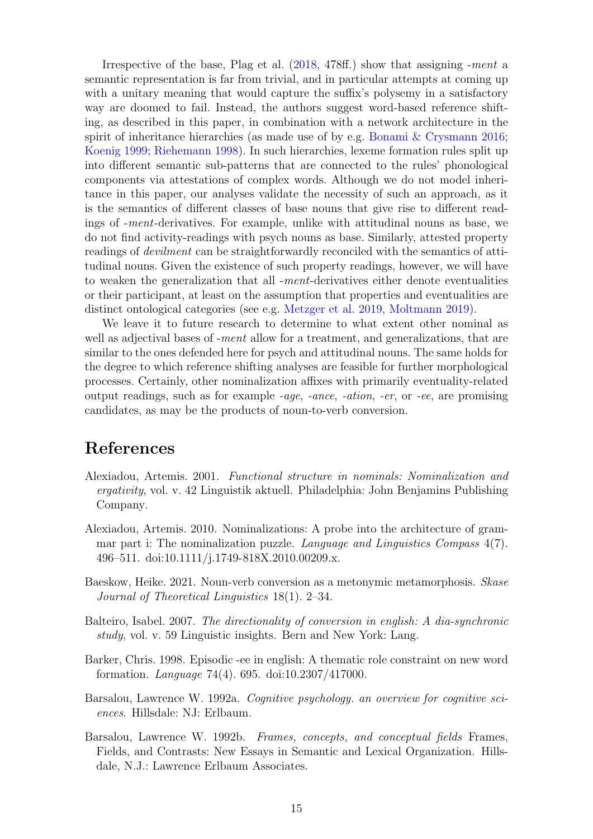Irrespective of the base, Plag et al. [\(2018,](#page-16-2) 478ff.) show that assigning -ment a semantic representation is far from trivial, and in particular attempts at coming up with a unitary meaning that would capture the suffix's polysemy in a satisfactory way are doomed to fail. Instead, the authors suggest word-based reference shifting, as described in this paper, in combination with a network architecture in the spirit of inheritance hierarchies (as made use of by e.g. [Bonami & Crysmann](#page-15-11) [2016;](#page-15-11) [Koenig](#page-15-9) [1999;](#page-15-9) [Riehemann](#page-17-8) [1998\)](#page-17-8). In such hierarchies, lexeme formation rules split up into different semantic sub-patterns that are connected to the rules' phonological components via attestations of complex words. Although we do not model inheritance in this paper, our analyses validate the necessity of such an approach, as it is the semantics of different classes of base nouns that give rise to different readings of -ment-derivatives. For example, unlike with attitudinal nouns as base, we do not find activity-readings with psych nouns as base. Similarly, attested property readings of devilment can be straightforwardly reconciled with the semantics of attitudinal nouns. Given the existence of such property readings, however, we will have to weaken the generalization that all -ment-derivatives either denote eventualities or their participant, at least on the assumption that properties and eventualities are distinct ontological categories (see e.g. [Metzger et al.](#page-16-12) [2019,](#page-16-12) [Moltmann](#page-16-1) [2019\)](#page-16-1).

We leave it to future research to determine to what extent other nominal as well as adjectival bases of -ment allow for a treatment, and generalizations, that are similar to the ones defended here for psych and attitudinal nouns. The same holds for the degree to which reference shifting analyses are feasible for further morphological processes. Certainly, other nominalization affixes with primarily eventuality-related output readings, such as for example -age, -ance, -ation, -er, or -ee, are promising candidates, as may be the products of noun-to-verb conversion.

## References

- <span id="page-14-0"></span>Alexiadou, Artemis. 2001. Functional structure in nominals: Nominalization and ergativity, vol. v. 42 Linguistik aktuell. Philadelphia: John Benjamins Publishing Company.
- <span id="page-14-1"></span>Alexiadou, Artemis. 2010. Nominalizations: A probe into the architecture of grammar part i: The nominalization puzzle. *Language and Linguistics Compass* 4(7). 496–511. doi:10.1111/j.1749-818X.2010.00209.x.
- <span id="page-14-6"></span>Baeskow, Heike. 2021. Noun-verb conversion as a metonymic metamorphosis. Skase Journal of Theoretical Linguistics 18(1). 2–34.
- <span id="page-14-2"></span>Balteiro, Isabel. 2007. The directionality of conversion in english: A dia-synchronic study, vol. v. 59 Linguistic insights. Bern and New York: Lang.
- <span id="page-14-3"></span>Barker, Chris. 1998. Episodic -ee in english: A thematic role constraint on new word formation. Language 74(4). 695. doi:10.2307/417000.
- <span id="page-14-4"></span>Barsalou, Lawrence W. 1992a. Cognitive psychology. an overview for cognitive sciences. Hillsdale: NJ: Erlbaum.
- <span id="page-14-5"></span>Barsalou, Lawrence W. 1992b. Frames, concepts, and conceptual fields Frames, Fields, and Contrasts: New Essays in Semantic and Lexical Organization. Hillsdale, N.J.: Lawrence Erlbaum Associates.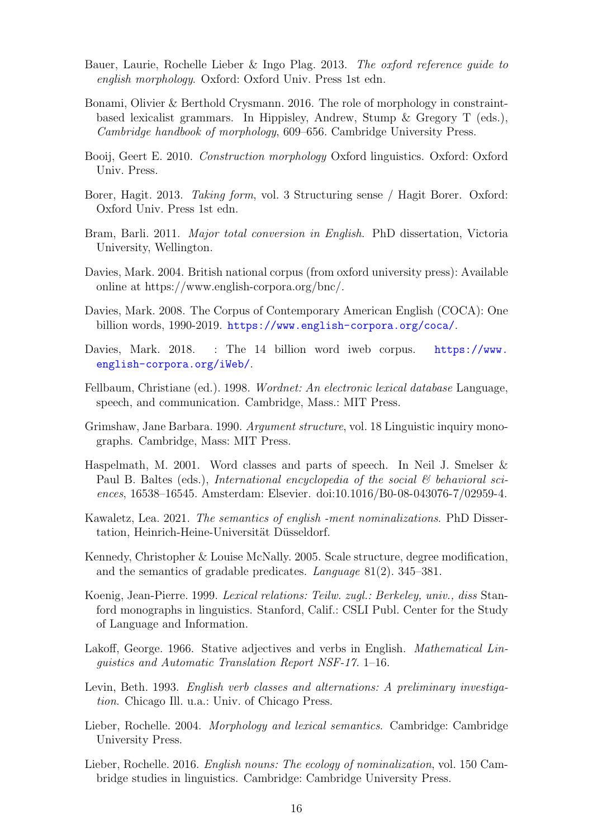- <span id="page-15-0"></span>Bauer, Laurie, Rochelle Lieber & Ingo Plag. 2013. The oxford reference guide to english morphology. Oxford: Oxford Univ. Press 1st edn.
- <span id="page-15-11"></span>Bonami, Olivier & Berthold Crysmann. 2016. The role of morphology in constraintbased lexicalist grammars. In Hippisley, Andrew, Stump & Gregory T (eds.), Cambridge handbook of morphology, 609–656. Cambridge University Press.
- <span id="page-15-8"></span>Booij, Geert E. 2010. Construction morphology Oxford linguistics. Oxford: Oxford Univ. Press.
- <span id="page-15-6"></span>Borer, Hagit. 2013. *Taking form*, vol. 3 Structuring sense / Hagit Borer. Oxford: Oxford Univ. Press 1st edn.
- <span id="page-15-5"></span>Bram, Barli. 2011. Major total conversion in English. PhD dissertation, Victoria University, Wellington.
- <span id="page-15-12"></span>Davies, Mark. 2004. British national corpus (from oxford university press): Available online at https://www.english-corpora.org/bnc/.
- <span id="page-15-13"></span>Davies, Mark. 2008. The Corpus of Contemporary American English (COCA): One billion words, 1990-2019. <https://www.english-corpora.org/coca/>.
- <span id="page-15-14"></span>Davies, Mark. 2018. : The 14 billion word iweb corpus. [https://www.](https://www.english-corpora.org/iWeb/) [english-corpora.org/iWeb/](https://www.english-corpora.org/iWeb/).
- <span id="page-15-15"></span>Fellbaum, Christiane (ed.). 1998. Wordnet: An electronic lexical database Language, speech, and communication. Cambridge, Mass.: MIT Press.
- <span id="page-15-3"></span>Grimshaw, Jane Barbara. 1990. Argument structure, vol. 18 Linguistic inquiry monographs. Cambridge, Mass: MIT Press.
- <span id="page-15-2"></span>Haspelmath, M. 2001. Word classes and parts of speech. In Neil J. Smelser & Paul B. Baltes (eds.), International encyclopedia of the social  $\mathcal{C}$  behavioral sciences, 16538–16545. Amsterdam: Elsevier. doi:10.1016/B0-08-043076-7/02959-4.
- <span id="page-15-1"></span>Kawaletz, Lea. 2021. The semantics of english -ment nominalizations. PhD Dissertation, Heinrich-Heine-Universität Düsseldorf.
- <span id="page-15-17"></span>Kennedy, Christopher & Louise McNally. 2005. Scale structure, degree modification, and the semantics of gradable predicates. Language 81(2). 345–381.
- <span id="page-15-9"></span>Koenig, Jean-Pierre. 1999. Lexical relations: Teilw. zugl.: Berkeley, univ., diss Stanford monographs in linguistics. Stanford, Calif.: CSLI Publ. Center for the Study of Language and Information.
- <span id="page-15-16"></span>Lakoff, George. 1966. Stative adjectives and verbs in English. Mathematical Linguistics and Automatic Translation Report NSF-17. 1–16.
- <span id="page-15-10"></span>Levin, Beth. 1993. English verb classes and alternations: A preliminary investigation. Chicago Ill. u.a.: Univ. of Chicago Press.
- <span id="page-15-7"></span>Lieber, Rochelle. 2004. Morphology and lexical semantics. Cambridge: Cambridge University Press.
- <span id="page-15-4"></span>Lieber, Rochelle. 2016. English nouns: The ecology of nominalization, vol. 150 Cambridge studies in linguistics. Cambridge: Cambridge University Press.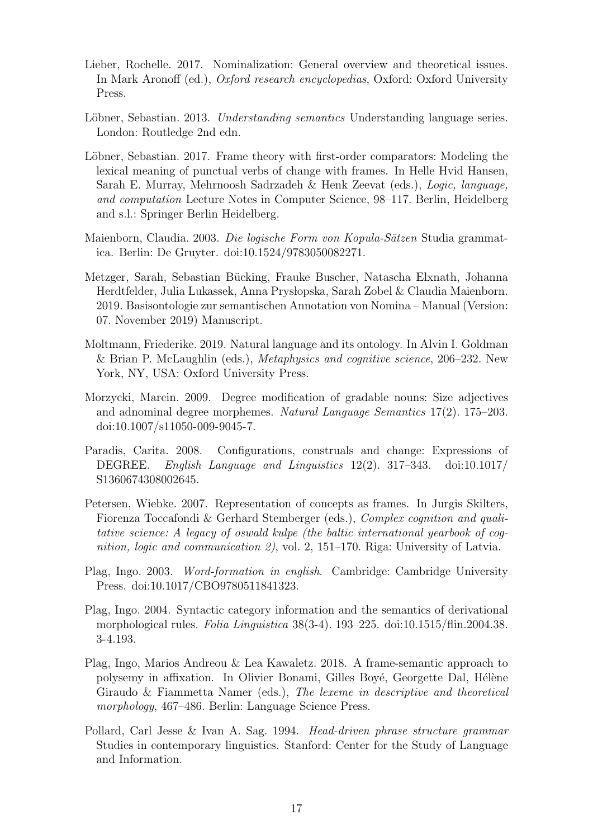- <span id="page-16-0"></span>Lieber, Rochelle. 2017. Nominalization: General overview and theoretical issues. In Mark Aronoff (ed.), Oxford research encyclopedias, Oxford: Oxford University Press.
- <span id="page-16-5"></span>Löbner, Sebastian. 2013. Understanding semantics Understanding language series. London: Routledge 2nd edn.
- <span id="page-16-11"></span>Löbner, Sebastian. 2017. Frame theory with first-order comparators: Modeling the lexical meaning of punctual verbs of change with frames. In Helle Hvid Hansen, Sarah E. Murray, Mehrnoosh Sadrzadeh & Henk Zeevat (eds.), Logic, language, and computation Lecture Notes in Computer Science, 98–117. Berlin, Heidelberg and s.l.: Springer Berlin Heidelberg.
- <span id="page-16-10"></span>Maienborn, Claudia. 2003. Die logische Form von Kopula-Sätzen Studia grammatica. Berlin: De Gruyter. doi:10.1524/9783050082271.
- <span id="page-16-12"></span>Metzger, Sarah, Sebastian Bücking, Frauke Buscher, Natascha Elxnath, Johanna Herdtfelder, Julia Lukassek, Anna Pryslopska, Sarah Zobel & Claudia Maienborn. 2019. Basisontologie zur semantischen Annotation von Nomina – Manual (Version: 07. November 2019) Manuscript.
- <span id="page-16-1"></span>Moltmann, Friederike. 2019. Natural language and its ontology. In Alvin I. Goldman & Brian P. McLaughlin (eds.), Metaphysics and cognitive science, 206–232. New York, NY, USA: Oxford University Press.
- <span id="page-16-9"></span>Morzycki, Marcin. 2009. Degree modification of gradable nouns: Size adjectives and adnominal degree morphemes. Natural Language Semantics 17(2). 175–203. doi:10.1007/s11050-009-9045-7.
- <span id="page-16-8"></span>Paradis, Carita. 2008. Configurations, construals and change: Expressions of DEGREE. English Language and Linguistics 12(2). 317–343. doi:10.1017/ S1360674308002645.
- <span id="page-16-6"></span>Petersen, Wiebke. 2007. Representation of concepts as frames. In Jurgis Skilters, Fiorenza Toccafondi & Gerhard Stemberger (eds.), Complex cognition and qualitative science: A legacy of oswald kulpe (the baltic international yearbook of cognition, logic and communication 2), vol. 2, 151–170. Riga: University of Latvia.
- <span id="page-16-3"></span>Plag, Ingo. 2003. Word-formation in english. Cambridge: Cambridge University Press. doi:10.1017/CBO9780511841323.
- <span id="page-16-4"></span>Plag, Ingo. 2004. Syntactic category information and the semantics of derivational morphological rules. Folia Linguistica 38(3-4). 193–225. doi:10.1515/flin.2004.38. 3-4.193.
- <span id="page-16-2"></span>Plag, Ingo, Marios Andreou & Lea Kawaletz. 2018. A frame-semantic approach to polysemy in affixation. In Olivier Bonami, Gilles Boyé, Georgette Dal, Hélène Giraudo & Fiammetta Namer (eds.), The lexeme in descriptive and theoretical morphology, 467–486. Berlin: Language Science Press.
- <span id="page-16-7"></span>Pollard, Carl Jesse & Ivan A. Sag. 1994. Head-driven phrase structure grammar Studies in contemporary linguistics. Stanford: Center for the Study of Language and Information.